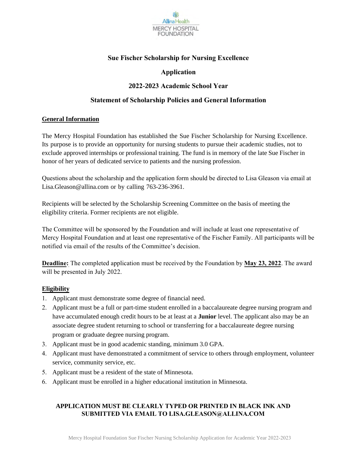

### **Sue Fischer Scholarship for Nursing Excellence**

### **Application**

### **2022-2023 Academic School Year**

#### **Statement of Scholarship Policies and General Information**

#### **General Information**

The Mercy Hospital Foundation has established the Sue Fischer Scholarship for Nursing Excellence. Its purpose is to provide an opportunity for nursing students to pursue their academic studies, not to exclude approved internships or professional training. The fund is in memory of the late Sue Fischer in honor of her years of dedicated service to patients and the nursing profession.

Questions about the scholarship and the application form should be directed to Lisa Gleason via email at [Lisa.Gleason@allina.com](mailto:lisa.gleason@allina.com) or by calling 763-236-3961.

Recipients will be selected by the Scholarship Screening Committee on the basis of meeting the eligibility criteria. Former recipients are not eligible.

The Committee will be sponsored by the Foundation and will include at least one representative of Mercy Hospital Foundation and at least one representative of the Fischer Family. All participants will be notified via email of the results of the Committee's decision.

**Deadline:** The completed application must be received by the Foundation by **May 23, 2022**. The award will be presented in July 2022.

#### **Eligibility**

- 1. Applicant must demonstrate some degree of financial need.
- 2. Applicant must be a full or part-time student enrolled in a baccalaureate degree nursing program and have accumulated enough credit hours to be at least at a **Junior** level. The applicant also may be an associate degree student returning to school or transferring for a baccalaureate degree nursing program or graduate degree nursing program.
- 3. Applicant must be in good academic standing, minimum 3.0 GPA.
- 4. Applicant must have demonstrated a commitment of service to others through employment, volunteer service, community service, etc.
- 5. Applicant must be a resident of the state of Minnesota.
- 6. Applicant must be enrolled in a higher educational institution in Minnesota.

#### **APPLICATION MUST BE CLEARLY TYPED OR PRINTED IN BLACK INK AND SUBMITTED VIA EMAIL TO LISA.GLEASON@ALLINA.COM**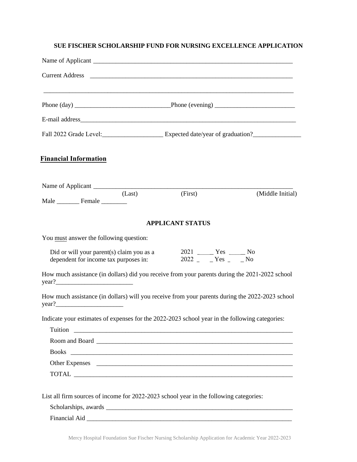#### **SUE FISCHER SCHOLARSHIP FUND FOR NURSING EXCELLENCE APPLICATION**

| Fall 2022 Grade Level: Expected date/year of graduation?                                                 |                                                                                                                                                                                                                                |                  |
|----------------------------------------------------------------------------------------------------------|--------------------------------------------------------------------------------------------------------------------------------------------------------------------------------------------------------------------------------|------------------|
| <b>Financial Information</b>                                                                             |                                                                                                                                                                                                                                |                  |
| (Last)                                                                                                   | (First)                                                                                                                                                                                                                        | (Middle Initial) |
| Male Female                                                                                              |                                                                                                                                                                                                                                |                  |
|                                                                                                          | <b>APPLICANT STATUS</b>                                                                                                                                                                                                        |                  |
| You must answer the following question:                                                                  |                                                                                                                                                                                                                                |                  |
| Did or will your parent(s) claim you as a<br>dependent for income tax purposes in:                       | 2021 ________ Yes _______ No<br>$2022 - Yes - No$                                                                                                                                                                              |                  |
| How much assistance (in dollars) did you receive from your parents during the 2021-2022 school<br>year?  |                                                                                                                                                                                                                                |                  |
| How much assistance (in dollars) will you receive from your parents during the 2022-2023 school<br>year? |                                                                                                                                                                                                                                |                  |
| Indicate your estimates of expenses for the 2022-2023 school year in the following categories:           |                                                                                                                                                                                                                                |                  |
|                                                                                                          |                                                                                                                                                                                                                                |                  |
|                                                                                                          |                                                                                                                                                                                                                                |                  |
| Other Expenses                                                                                           |                                                                                                                                                                                                                                |                  |
|                                                                                                          |                                                                                                                                                                                                                                |                  |
| List all firm sources of income for 2022-2023 school year in the following categories:                   |                                                                                                                                                                                                                                |                  |
|                                                                                                          |                                                                                                                                                                                                                                |                  |
|                                                                                                          | Financial Aid Lawrence and Aid Lawrence and Aid Lawrence and Aid Lawrence and Aid Lawrence and Aid Lawrence and Aid Lawrence and Aid Lawrence and Aid Lawrence and Aid Lawrence and Aid Lawrence and Aid Lawrence and Aid Lawr |                  |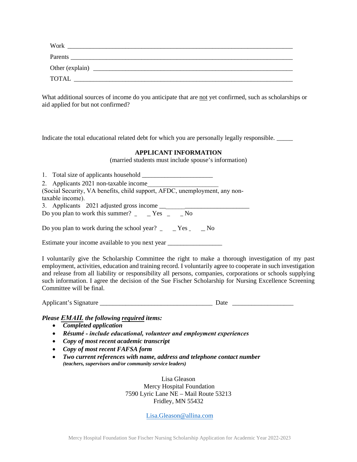| Parents<br>Other (explain)<br><b>TOTAL</b> | Work |  |
|--------------------------------------------|------|--|
|                                            |      |  |
|                                            |      |  |
|                                            |      |  |

What additional sources of income do you anticipate that are not yet confirmed, such as scholarships or aid applied for but not confirmed?

Indicate the total educational related debt for which you are personally legally responsible. \_\_\_\_\_

#### **APPLICANT INFORMATION**

(married students must include spouse's information)

| 1. Total size of applicants household                                                     |
|-------------------------------------------------------------------------------------------|
| 2. Applicants 2021 non-taxable income                                                     |
| (Social Security, VA benefits, child support, AFDC, unemployment, any non-                |
| taxable income).                                                                          |
|                                                                                           |
| Do you plan to work this summer? $\angle$ $\angle$ Yes $\angle$ No                        |
| Do you plan to work during the school year? $\angle$ $\angle$ Yes $\angle$ $\triangle$ No |
| Estimate your income available to you next year _________________________________         |

I voluntarily give the Scholarship Committee the right to make a thorough investigation of my past employment, activities, education and training record. I voluntarily agree to cooperate in such investigation and release from all liability or responsibility all persons, companies, corporations or schools supplying such information. I agree the decision of the Sue Fischer Scholarship for Nursing Excellence Screening Committee will be final.

Applicant's Signature Date Date

#### *Please EMAIL the following required items:*

- *Completed application*
- *Résumé include educational, volunteer and employment experiences*
- *Copy of most recent academic transcript*
- *Copy of most recent FAFSA form*
- *Two current references with name, address and telephone contact number (teachers, supervisors and/or community service leaders)*

Lisa Gleason Mercy Hospital Foundation 7590 Lyric Lane NE – Mail Route 53213 Fridley, MN 55432

[Lisa.Gleason@allina.com](mailto:Lisa.Gleason@allina.com)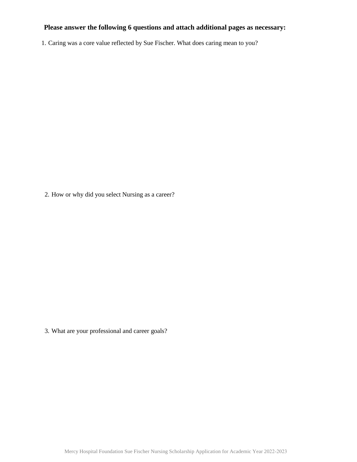# **Please answer the following 6 questions and attach additional pages as necessary:**

1. Caring was a core value reflected by Sue Fischer. What does caring mean to you?

2. How or why did you select Nursing as a career?

3. What are your professional and career goals?